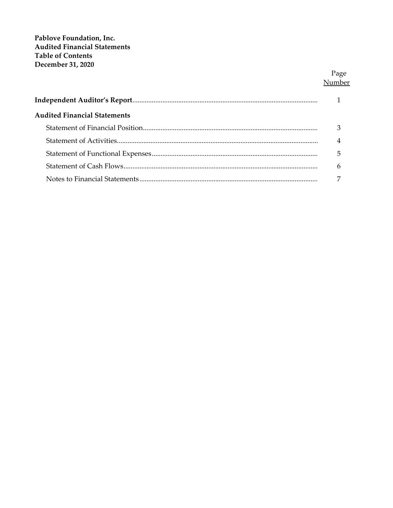# Pablove Foundation, Inc. **Audited Financial Statements Table of Contents** December 31, 2020

|                                     | Page<br>Number |
|-------------------------------------|----------------|
|                                     |                |
| <b>Audited Financial Statements</b> |                |
|                                     | З              |
|                                     |                |
|                                     | 5              |
|                                     | 6              |
|                                     |                |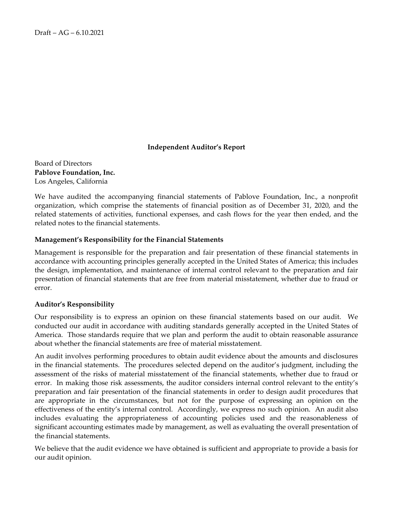# **Independent Auditor's Report**

Board of Directors **Pablove Foundation, Inc.** Los Angeles, California

We have audited the accompanying financial statements of Pablove Foundation, Inc., a nonprofit organization, which comprise the statements of financial position as of December 31, 2020, and the related statements of activities, functional expenses, and cash flows for the year then ended, and the related notes to the financial statements.

### **Management's Responsibility for the Financial Statements**

Management is responsible for the preparation and fair presentation of these financial statements in accordance with accounting principles generally accepted in the United States of America; this includes the design, implementation, and maintenance of internal control relevant to the preparation and fair presentation of financial statements that are free from material misstatement, whether due to fraud or error.

### **Auditor's Responsibility**

Our responsibility is to express an opinion on these financial statements based on our audit. We conducted our audit in accordance with auditing standards generally accepted in the United States of America. Those standards require that we plan and perform the audit to obtain reasonable assurance about whether the financial statements are free of material misstatement.

An audit involves performing procedures to obtain audit evidence about the amounts and disclosures in the financial statements. The procedures selected depend on the auditor's judgment, including the assessment of the risks of material misstatement of the financial statements, whether due to fraud or error. In making those risk assessments, the auditor considers internal control relevant to the entity's preparation and fair presentation of the financial statements in order to design audit procedures that are appropriate in the circumstances, but not for the purpose of expressing an opinion on the effectiveness of the entity's internal control. Accordingly, we express no such opinion. An audit also includes evaluating the appropriateness of accounting policies used and the reasonableness of significant accounting estimates made by management, as well as evaluating the overall presentation of the financial statements.

We believe that the audit evidence we have obtained is sufficient and appropriate to provide a basis for our audit opinion.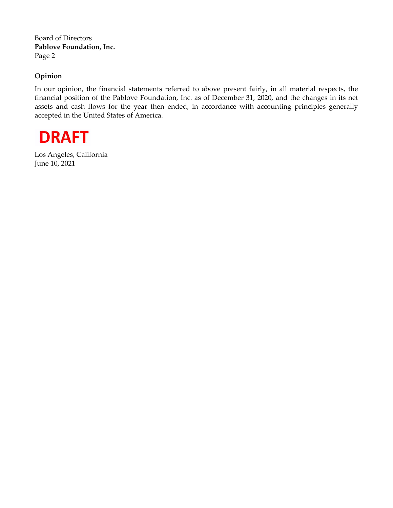Board of Directors **Pablove Foundation, Inc.** Page 2

# **Opinion**

In our opinion, the financial statements referred to above present fairly, in all material respects, the financial position of the Pablove Foundation, Inc. as of December 31, 2020, and the changes in its net assets and cash flows for the year then ended, in accordance with accounting principles generally accepted in the United States of America.



Los Angeles, California June 10, 2021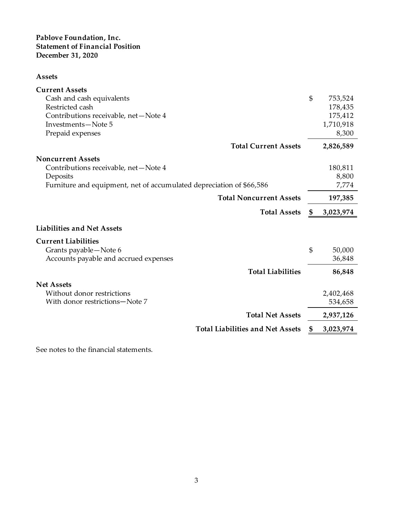# **Pablove Foundation, Inc. Statement of Financial Position December 31, 2020**

#### **Assets**

| <b>Current Assets</b>                                                |                |           |
|----------------------------------------------------------------------|----------------|-----------|
| Cash and cash equivalents                                            | $\mathfrak{S}$ | 753,524   |
| Restricted cash                                                      |                | 178,435   |
| Contributions receivable, net-Note 4                                 |                | 175,412   |
| Investments-Note 5                                                   |                | 1,710,918 |
| Prepaid expenses                                                     |                | 8,300     |
| <b>Total Current Assets</b>                                          |                | 2,826,589 |
| <b>Noncurrent Assets</b>                                             |                |           |
| Contributions receivable, net-Note 4                                 |                | 180,811   |
| Deposits                                                             |                | 8,800     |
| Furniture and equipment, net of accumulated depreciation of \$66,586 |                | 7,774     |
| <b>Total Noncurrent Assets</b>                                       |                | 197,385   |
| <b>Total Assets</b>                                                  | \$             | 3,023,974 |
| <b>Liabilities and Net Assets</b>                                    |                |           |
| <b>Current Liabilities</b>                                           |                |           |
| Grants payable - Note 6                                              | \$             | 50,000    |
| Accounts payable and accrued expenses                                |                | 36,848    |
| <b>Total Liabilities</b>                                             |                | 86,848    |
| <b>Net Assets</b>                                                    |                |           |
| Without donor restrictions                                           |                | 2,402,468 |
| With donor restrictions-Note 7                                       |                | 534,658   |
| <b>Total Net Assets</b>                                              |                | 2,937,126 |
| <b>Total Liabilities and Net Assets</b>                              | \$             | 3,023,974 |

See notes to the financial statements.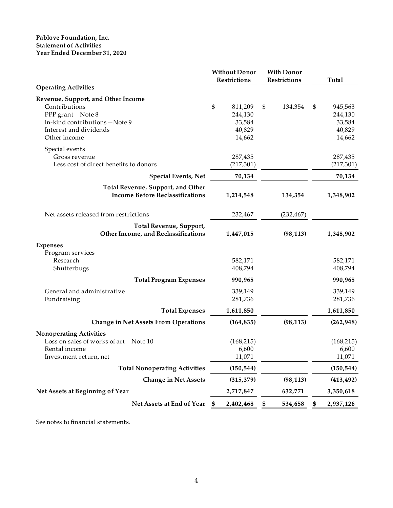#### **Pablove Foundation, Inc. Statement of Activities Year Ended December 31, 2020**

|                                             | <b>Without Donor</b> | <b>With Donor</b><br>Restrictions<br>Restrictions |               |
|---------------------------------------------|----------------------|---------------------------------------------------|---------------|
| <b>Operating Activities</b>                 |                      |                                                   | Total         |
| Revenue, Support, and Other Income          |                      |                                                   |               |
| Contributions                               | \$<br>811,209        | \$<br>134,354                                     | \$<br>945,563 |
| PPP grant-Note 8                            | 244,130              |                                                   | 244,130       |
| In-kind contributions-Note 9                | 33,584               |                                                   | 33,584        |
| Interest and dividends                      | 40,829               |                                                   | 40,829        |
| Other income                                | 14,662               |                                                   | 14,662        |
| Special events                              |                      |                                                   |               |
| Gross revenue                               | 287,435              |                                                   | 287,435       |
| Less cost of direct benefits to donors      | (217, 301)           |                                                   | (217, 301)    |
| <b>Special Events, Net</b>                  | 70,134               |                                                   | 70,134        |
| Total Revenue, Support, and Other           |                      |                                                   |               |
| <b>Income Before Reclassifications</b>      | 1,214,548            | 134,354                                           | 1,348,902     |
| Net assets released from restrictions       | 232,467              | (232, 467)                                        |               |
| Total Revenue, Support,                     |                      |                                                   |               |
| Other Income, and Reclassifications         | 1,447,015            | (98, 113)                                         | 1,348,902     |
| Expenses                                    |                      |                                                   |               |
| Program services                            |                      |                                                   |               |
| Research                                    | 582,171              |                                                   | 582,171       |
| Shutterbugs                                 | 408,794              |                                                   | 408,794       |
| <b>Total Program Expenses</b>               | 990,965              |                                                   | 990,965       |
| General and administrative                  | 339,149              |                                                   | 339,149       |
| Fundraising                                 | 281,736              |                                                   | 281,736       |
| <b>Total Expenses</b>                       | 1,611,850            |                                                   | 1,611,850     |
| <b>Change in Net Assets From Operations</b> | (164, 835)           | (98, 113)                                         | (262, 948)    |
| <b>Nonoperating Activities</b>              |                      |                                                   |               |
| Loss on sales of works of art-Note 10       | (168, 215)           |                                                   | (168, 215)    |
| Rental income                               | 6,600                |                                                   | 6,600         |
| Investment return, net                      | 11,071               |                                                   | 11,071        |
| <b>Total Nonoperating Activities</b>        | (150, 544)           |                                                   | (150, 544)    |
| <b>Change in Net Assets</b>                 | (315, 379)           | (98, 113)                                         | (413, 492)    |
| Net Assets at Beginning of Year             | 2,717,847            | 632,771                                           | 3,350,618     |
| Net Assets at End of Year                   | 2,402,468            | 534,658                                           | 2,937,126     |

See notes to financial statements.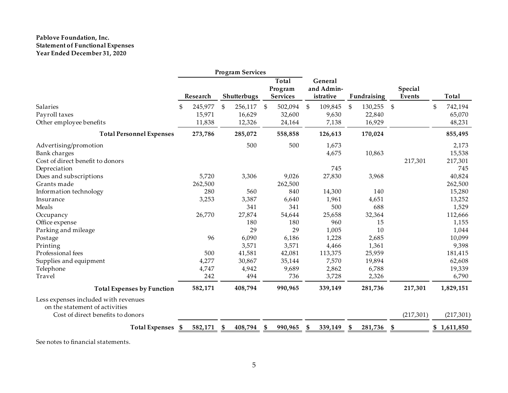#### **Pablove Foundation, Inc. Statement of Functional Expenses Year Ended December 31, 2020**

|                                                                                                             |      |          |      | <b>Program Services</b> |      |                                     |                |                                    |               |                           |                   |               |
|-------------------------------------------------------------------------------------------------------------|------|----------|------|-------------------------|------|-------------------------------------|----------------|------------------------------------|---------------|---------------------------|-------------------|---------------|
|                                                                                                             |      | Research |      | Shutterbugs             |      | Total<br>Program<br><b>Services</b> |                | General<br>and Admin-<br>istrative | Fundraising   |                           | Special<br>Events | Total         |
| <b>Salaries</b>                                                                                             | \$   | 245,977  | \$   | 256,117                 | \$   | 502,094                             | $\mathfrak{S}$ | 109,845                            | \$<br>130,255 | $\boldsymbol{\mathsf{S}}$ |                   | 742,194<br>\$ |
| Payroll taxes                                                                                               |      | 15,971   |      | 16,629                  |      | 32,600                              |                | 9,630                              | 22,840        |                           |                   | 65,070        |
| Other employee benefits                                                                                     |      | 11,838   |      | 12,326                  |      | 24,164                              |                | 7,138                              | 16,929        |                           |                   | 48,231        |
| <b>Total Personnel Expenses</b>                                                                             |      | 273,786  |      | 285,072                 |      | 558,858                             |                | 126,613                            | 170,024       |                           |                   | 855,495       |
| Advertising/promotion                                                                                       |      |          |      | 500                     |      | 500                                 |                | 1,673                              |               |                           |                   | 2,173         |
| Bank charges                                                                                                |      |          |      |                         |      |                                     |                | 4,675                              | 10,863        |                           |                   | 15,538        |
| Cost of direct benefit to donors                                                                            |      |          |      |                         |      |                                     |                |                                    |               |                           | 217,301           | 217,301       |
| Depreciation                                                                                                |      |          |      |                         |      |                                     |                | 745                                |               |                           |                   | 745           |
| Dues and subscriptions                                                                                      |      | 5,720    |      | 3,306                   |      | 9,026                               |                | 27,830                             | 3,968         |                           |                   | 40,824        |
| Grants made                                                                                                 |      | 262,500  |      |                         |      | 262,500                             |                |                                    |               |                           |                   | 262,500       |
| Information technology                                                                                      |      | 280      |      | 560                     |      | 840                                 |                | 14,300                             | 140           |                           |                   | 15,280        |
| Insurance                                                                                                   |      | 3,253    |      | 3,387                   |      | 6,640                               |                | 1,961                              | 4,651         |                           |                   | 13,252        |
| Meals                                                                                                       |      |          |      | 341                     |      | 341                                 |                | 500                                | 688           |                           |                   | 1,529         |
| Occupancy                                                                                                   |      | 26,770   |      | 27,874                  |      | 54,644                              |                | 25,658                             | 32,364        |                           |                   | 112,666       |
| Office expense                                                                                              |      |          |      | 180                     |      | 180                                 |                | 960                                | 15            |                           |                   | 1,155         |
| Parking and mileage                                                                                         |      |          |      | 29                      |      | 29                                  |                | 1,005                              | 10            |                           |                   | 1,044         |
| Postage                                                                                                     |      | 96       |      | 6,090                   |      | 6,186                               |                | 1,228                              | 2,685         |                           |                   | 10,099        |
| Printing                                                                                                    |      |          |      | 3,571                   |      | 3,571                               |                | 4,466                              | 1,361         |                           |                   | 9,398         |
| Professional fees                                                                                           |      | 500      |      | 41,581                  |      | 42,081                              |                | 113,375                            | 25,959        |                           |                   | 181,415       |
| Supplies and equipment                                                                                      |      | 4,277    |      | 30,867                  |      | 35,144                              |                | 7,570                              | 19,894        |                           |                   | 62,608        |
| Telephone                                                                                                   |      | 4,747    |      | 4,942                   |      | 9,689                               |                | 2,862                              | 6,788         |                           |                   | 19,339        |
| Travel                                                                                                      |      | 242      |      | 494                     |      | 736                                 |                | 3,728                              | 2,326         |                           |                   | 6,790         |
| <b>Total Expenses by Function</b>                                                                           |      | 582,171  |      | 408,794                 |      | 990,965                             |                | 339,149                            | 281,736       |                           | 217,301           | 1,829,151     |
| Less expenses included with revenues<br>on the statement of activities<br>Cost of direct benefits to donors |      |          |      |                         |      |                                     |                |                                    |               |                           | (217,301)         | (217, 301)    |
|                                                                                                             |      |          |      |                         |      |                                     |                |                                    |               |                           |                   |               |
| <b>Total Expenses</b>                                                                                       | - SS | 582,171  | - \$ | 408,794                 | - \$ | 990,965                             | \$             | 339,149                            | \$<br>281,736 | $\frac{6}{5}$             |                   | \$1,611,850   |

See notes to financial statements.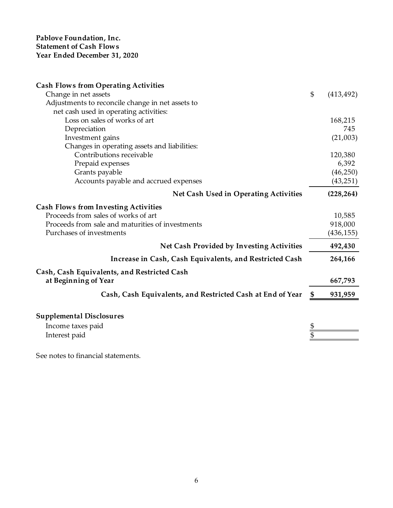**Pablove Foundation, Inc. Statement of Cash Flows Year Ended December 31, 2020**

| <b>Cash Flows from Operating Activities</b>                |                  |
|------------------------------------------------------------|------------------|
| Change in net assets                                       | \$<br>(413, 492) |
| Adjustments to reconcile change in net assets to           |                  |
| net cash used in operating activities:                     |                  |
| Loss on sales of works of art                              | 168,215          |
| Depreciation                                               | 745              |
| Investment gains                                           | (21,003)         |
| Changes in operating assets and liabilities:               |                  |
| Contributions receivable                                   | 120,380          |
| Prepaid expenses                                           | 6,392            |
| Grants payable                                             | (46, 250)        |
| Accounts payable and accrued expenses                      | (43, 251)        |
| Net Cash Used in Operating Activities                      | (228, 264)       |
| <b>Cash Flows from Investing Activities</b>                |                  |
| Proceeds from sales of works of art                        | 10,585           |
| Proceeds from sale and maturities of investments           | 918,000          |
| Purchases of investments                                   | (436, 155)       |
| Net Cash Provided by Investing Activities                  | 492,430          |
| Increase in Cash, Cash Equivalents, and Restricted Cash    | 264,166          |
| Cash, Cash Equivalents, and Restricted Cash                |                  |
| at Beginning of Year                                       | 667,793          |
| Cash, Cash Equivalents, and Restricted Cash at End of Year | \$<br>931,959    |
| <b>Supplemental Disclosures</b>                            |                  |
|                                                            |                  |
| Income taxes paid                                          |                  |
| Interest paid                                              |                  |

See notes to financial statements.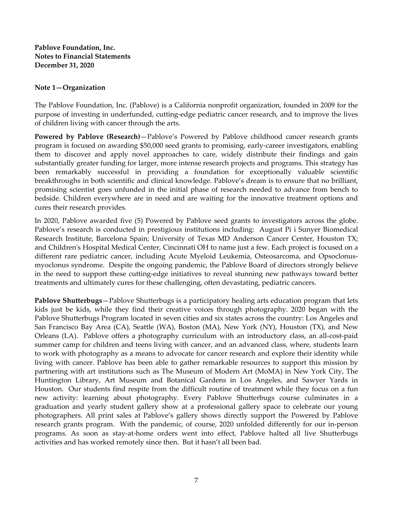**Pablove Foundation, Inc. Notes to Financial Statements December 31, 2020**

#### **Note 1—Organization**

The Pablove Foundation, Inc. (Pablove) is a California nonprofit organization, founded in 2009 for the purpose of investing in underfunded, cutting-edge pediatric cancer research, and to improve the lives of children living with cancer through the arts.

**Powered by Pablove (Research)**—Pablove's Powered by Pablove childhood cancer research grants program is focused on awarding \$50,000 seed grants to promising, early‐career investigators, enabling them to discover and apply novel approaches to care, widely distribute their findings and gain substantially greater funding for larger, more intense research projects and programs. This strategy has been remarkably successful in providing a foundation for exceptionally valuable scientific breakthroughs in both scientific and clinical knowledge. Pablove's dream is to ensure that no brilliant, promising scientist goes unfunded in the initial phase of research needed to advance from bench to bedside. Children everywhere are in need and are waiting for the innovative treatment options and cures their research provides.

In 2020, Pablove awarded five (5) Powered by Pablove seed grants to investigators across the globe. Pablove's research is conducted in prestigious institutions including: August Pi i Sunyer Biomedical Research Institute, Barcelona Spain; University of Texas MD Anderson Cancer Center, Houston TX; and Childrenʹs Hospital Medical Center, Cincinnati OH to name just a few. Each project is focused on a different rare pediatric cancer, including Acute Myeloid Leukemia, Osteosarcoma, and Opsoclonus‐ myoclonus syndrome. Despite the ongoing pandemic, the Pablove Board of directors strongly believe in the need to support these cutting‐edge initiatives to reveal stunning new pathways toward better treatments and ultimately cures for these challenging, often devastating, pediatric cancers.

**Pablove Shutterbugs**—Pablove Shutterbugs is a participatory healing arts education program that lets kids just be kids, while they find their creative voices through photography. 2020 began with the Pablove Shutterbugs Program located in seven cities and six states across the country: Los Angeles and San Francisco Bay Area (CA), Seattle (WA), Boston (MA), New York (NY), Houston (TX), and New Orleans (LA). Pablove offers a photography curriculum with an introductory class, an all-cost-paid summer camp for children and teens living with cancer, and an advanced class, where, students learn to work with photography as a means to advocate for cancer research and explore their identity while living with cancer. Pablove has been able to gather remarkable resources to support this mission by partnering with art institutions such as The Museum of Modern Art (MoMA) in New York City, The Huntington Library, Art Museum and Botanical Gardens in Los Angeles, and Sawyer Yards in Houston. Our students find respite from the difficult routine of treatment while they focus on a fun new activity: learning about photography. Every Pablove Shutterbugs course culminates in a graduation and yearly student gallery show at a professional gallery space to celebrate our young photographers. All print sales at Pablove's gallery shows directly support the Powered by Pablove research grants program. With the pandemic, of course, 2020 unfolded differently for our in‐person programs. As soon as stay‐at‐home orders went into effect, Pablove halted all live Shutterbugs activities and has worked remotely since then. But it hasn't all been bad.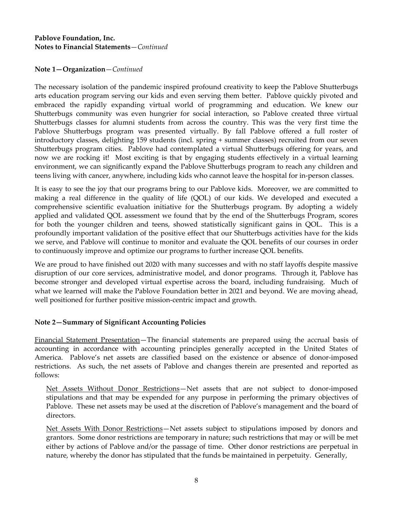### **Note 1—Organization**—*Continued*

The necessary isolation of the pandemic inspired profound creativity to keep the Pablove Shutterbugs arts education program serving our kids and even serving them better. Pablove quickly pivoted and embraced the rapidly expanding virtual world of programming and education. We knew our Shutterbugs community was even hungrier for social interaction, so Pablove created three virtual Shutterbugs classes for alumni students from across the country. This was the very first time the Pablove Shutterbugs program was presented virtually. By fall Pablove offered a full roster of introductory classes, delighting 159 students (incl. spring + summer classes) recruited from our seven Shutterbugs program cities. Pablove had contemplated a virtual Shutterbugs offering for years, and now we are rocking it! Most exciting is that by engaging students effectively in a virtual learning environment, we can significantly expand the Pablove Shutterbugs program to reach any children and teens living with cancer, anywhere, including kids who cannot leave the hospital for in‐person classes.

It is easy to see the joy that our programs bring to our Pablove kids. Moreover, we are committed to making a real difference in the quality of life (QOL) of our kids. We developed and executed a comprehensive scientific evaluation initiative for the Shutterbugs program. By adopting a widely applied and validated QOL assessment we found that by the end of the Shutterbugs Program, scores for both the younger children and teens, showed statistically significant gains in QOL. This is a profoundly important validation of the positive effect that our Shutterbugs activities have for the kids we serve, and Pablove will continue to monitor and evaluate the QOL benefits of our courses in order to continuously improve and optimize our programs to further increase QOL benefits.

We are proud to have finished out 2020 with many successes and with no staff layoffs despite massive disruption of our core services, administrative model, and donor programs. Through it, Pablove has become stronger and developed virtual expertise across the board, including fundraising. Much of what we learned will make the Pablove Foundation better in 2021 and beyond. We are moving ahead, well positioned for further positive mission-centric impact and growth.

### **Note 2—Summary of Significant Accounting Policies**

Financial Statement Presentation—The financial statements are prepared using the accrual basis of accounting in accordance with accounting principles generally accepted in the United States of America. Pablove's net assets are classified based on the existence or absence of donor-imposed restrictions. As such, the net assets of Pablove and changes therein are presented and reported as follows:

Net Assets Without Donor Restrictions—Net assets that are not subject to donor-imposed stipulations and that may be expended for any purpose in performing the primary objectives of Pablove. These net assets may be used at the discretion of Pablove's management and the board of directors.

Net Assets With Donor Restrictions—Net assets subject to stipulations imposed by donors and grantors. Some donor restrictions are temporary in nature; such restrictions that may or will be met either by actions of Pablove and/or the passage of time. Other donor restrictions are perpetual in nature, whereby the donor has stipulated that the funds be maintained in perpetuity. Generally,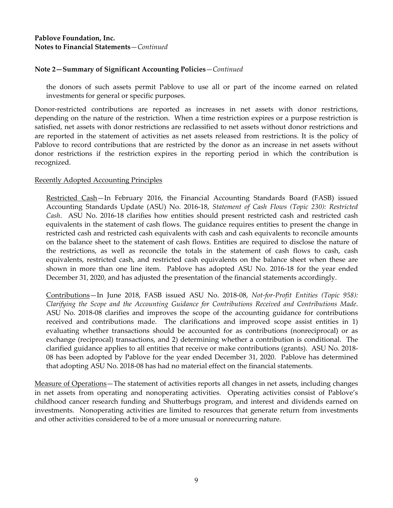## **Note 2—Summary of Significant Accounting Policies**—*Continued*

the donors of such assets permit Pablove to use all or part of the income earned on related investments for general or specific purposes.

Donor-restricted contributions are reported as increases in net assets with donor restrictions, depending on the nature of the restriction. When a time restriction expires or a purpose restriction is satisfied, net assets with donor restrictions are reclassified to net assets without donor restrictions and are reported in the statement of activities as net assets released from restrictions. It is the policy of Pablove to record contributions that are restricted by the donor as an increase in net assets without donor restrictions if the restriction expires in the reporting period in which the contribution is recognized.

### Recently Adopted Accounting Principles

Restricted Cash—In February 2016, the Financial Accounting Standards Board (FASB) issued Accounting Standards Update (ASU) No. 2016‐18, *Statement of Cash Flows (Topic 230): Restricted Cash*. ASU No. 2016‐18 clarifies how entities should present restricted cash and restricted cash equivalents in the statement of cash flows. The guidance requires entities to present the change in restricted cash and restricted cash equivalents with cash and cash equivalents to reconcile amounts on the balance sheet to the statement of cash flows. Entities are required to disclose the nature of the restrictions, as well as reconcile the totals in the statement of cash flows to cash, cash equivalents, restricted cash, and restricted cash equivalents on the balance sheet when these are shown in more than one line item. Pablove has adopted ASU No. 2016‐18 for the year ended December 31, 2020, and has adjusted the presentation of the financial statements accordingly.

Contributions—In June 2018, FASB issued ASU No. 2018‐08, *Not‐for‐Profit Entities (Topic 958): Clarifying the Scope and the Accounting Guidance for Contributions Received and Contributions Made*. ASU No. 2018‐08 clarifies and improves the scope of the accounting guidance for contributions received and contributions made. The clarifications and improved scope assist entities in 1) evaluating whether transactions should be accounted for as contributions (nonreciprocal) or as exchange (reciprocal) transactions, and 2) determining whether a contribution is conditional. The clarified guidance applies to all entities that receive or make contributions (grants). ASU No. 2018‐ 08 has been adopted by Pablove for the year ended December 31, 2020. Pablove has determined that adopting ASU No. 2018‐08 has had no material effect on the financial statements.

Measure of Operations—The statement of activities reports all changes in net assets, including changes in net assets from operating and nonoperating activities. Operating activities consist of Pablove's childhood cancer research funding and Shutterbugs program, and interest and dividends earned on investments. Nonoperating activities are limited to resources that generate return from investments and other activities considered to be of a more unusual or nonrecurring nature.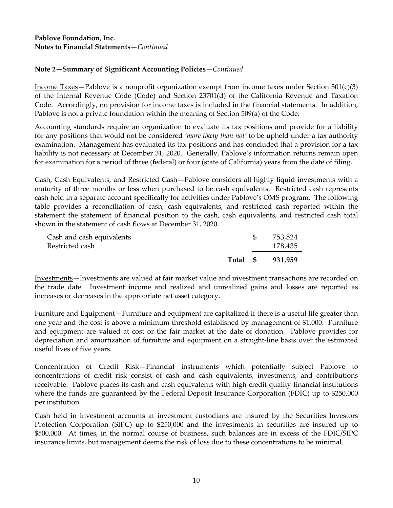# **Note 2—Summary of Significant Accounting Policies**—*Continued*

Income Taxes-Pablove is a nonprofit organization exempt from income taxes under Section  $501(c)(3)$ of the Internal Revenue Code (Code) and Section 23701(d) of the California Revenue and Taxation Code. Accordingly, no provision for income taxes is included in the financial statements. In addition, Pablove is not a private foundation within the meaning of Section 509(a) of the Code.

Accounting standards require an organization to evaluate its tax positions and provide for a liability for any positions that would not be considered *'more likely than not'* to be upheld under a tax authority examination. Management has evaluated its tax positions and has concluded that a provision for a tax liability is not necessary at December 31, 2020. Generally, Pablove's information returns remain open for examination for a period of three (federal) or four (state of California) years from the date of filing.

Cash, Cash Equivalents, and Restricted Cash—Pablove considers all highly liquid investments with a maturity of three months or less when purchased to be cash equivalents. Restricted cash represents cash held in a separate account specifically for activities under Pablove's OMS program. The following table provides a reconciliation of cash, cash equivalents, and restricted cash reported within the statement the statement of financial position to the cash, cash equivalents, and restricted cash total shown in the statement of cash flows at December 31, 2020.

| Cash and cash equivalents<br>Restricted cash |          | 753,524<br>178,435 |
|----------------------------------------------|----------|--------------------|
|                                              | Total \$ | 931,959            |

Investments—Investments are valued at fair market value and investment transactions are recorded on the trade date. Investment income and realized and unrealized gains and losses are reported as increases or decreases in the appropriate net asset category.

Furniture and Equipment—Furniture and equipment are capitalized if there is a useful life greater than one year and the cost is above a minimum threshold established by management of \$1,000. Furniture and equipment are valued at cost or the fair market at the date of donation. Pablove provides for depreciation and amortization of furniture and equipment on a straight‐line basis over the estimated useful lives of five years.

Concentration of Credit Risk—Financial instruments which potentially subject Pablove to concentrations of credit risk consist of cash and cash equivalents, investments, and contributions receivable. Pablove places its cash and cash equivalents with high credit quality financial institutions where the funds are guaranteed by the Federal Deposit Insurance Corporation (FDIC) up to \$250,000 per institution.

Cash held in investment accounts at investment custodians are insured by the Securities Investors Protection Corporation (SIPC) up to \$250,000 and the investments in securities are insured up to \$500,000. At times, in the normal course of business, such balances are in excess of the FDIC/SIPC insurance limits, but management deems the risk of loss due to these concentrations to be minimal.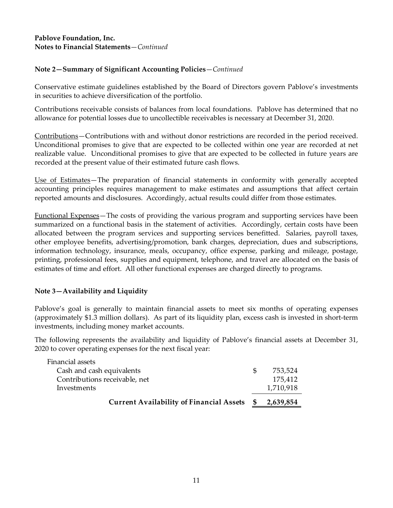# **Note 2—Summary of Significant Accounting Policies**—*Continued*

Conservative estimate guidelines established by the Board of Directors govern Pablove's investments in securities to achieve diversification of the portfolio.

Contributions receivable consists of balances from local foundations. Pablove has determined that no allowance for potential losses due to uncollectible receivables is necessary at December 31, 2020.

Contributions—Contributions with and without donor restrictions are recorded in the period received. Unconditional promises to give that are expected to be collected within one year are recorded at net realizable value. Unconditional promises to give that are expected to be collected in future years are recorded at the present value of their estimated future cash flows.

Use of Estimates—The preparation of financial statements in conformity with generally accepted accounting principles requires management to make estimates and assumptions that affect certain reported amounts and disclosures. Accordingly, actual results could differ from those estimates.

Functional Expenses—The costs of providing the various program and supporting services have been summarized on a functional basis in the statement of activities. Accordingly, certain costs have been allocated between the program services and supporting services benefitted. Salaries, payroll taxes, other employee benefits, advertising/promotion, bank charges, depreciation, dues and subscriptions, information technology, insurance, meals, occupancy, office expense, parking and mileage, postage, printing, professional fees, supplies and equipment, telephone, and travel are allocated on the basis of estimates of time and effort. All other functional expenses are charged directly to programs.

### **Note 3—Availability and Liquidity**

Pablove's goal is generally to maintain financial assets to meet six months of operating expenses (approximately \$1.3 million dollars). As part of its liquidity plan, excess cash is invested in short‐term investments, including money market accounts.

The following represents the availability and liquidity of Pablove's financial assets at December 31, 2020 to cover operating expenses for the next fiscal year:

| Financial assets                                |    |           |
|-------------------------------------------------|----|-----------|
| Cash and cash equivalents                       | -S | 753,524   |
| Contributions receivable, net                   |    | 175,412   |
| Investments                                     |    | 1,710,918 |
| <b>Current Availability of Financial Assets</b> |    | 2,639,854 |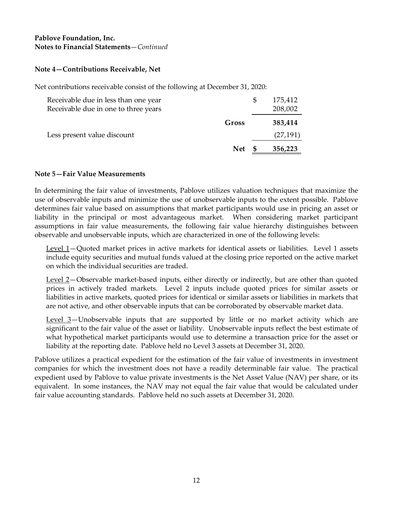### **Note 4—Contributions Receivable, Net**

Net contributions receivable consist of the following at December 31, 2020:

|                                                                              | <b>Net</b> |     | 356,223            |
|------------------------------------------------------------------------------|------------|-----|--------------------|
| Less present value discount                                                  |            |     | (27, 191)          |
| Gross                                                                        |            |     | 383,414            |
| Receivable due in less than one year<br>Receivable due in one to three years |            | \$. | 175,412<br>208,002 |

#### **Note 5—Fair Value Measurements**

In determining the fair value of investments, Pablove utilizes valuation techniques that maximize the use of observable inputs and minimize the use of unobservable inputs to the extent possible. Pablove determines fair value based on assumptions that market participants would use in pricing an asset or liability in the principal or most advantageous market. When considering market participant assumptions in fair value measurements, the following fair value hierarchy distinguishes between observable and unobservable inputs, which are characterized in one of the following levels:

Level 1—Quoted market prices in active markets for identical assets or liabilities. Level 1 assets include equity securities and mutual funds valued at the closing price reported on the active market on which the individual securities are traded.

Level 2—Observable market-based inputs, either directly or indirectly, but are other than quoted prices in actively traded markets. Level 2 inputs include quoted prices for similar assets or liabilities in active markets, quoted prices for identical or similar assets or liabilities in markets that are not active, and other observable inputs that can be corroborated by observable market data.

Level 3—Unobservable inputs that are supported by little or no market activity which are significant to the fair value of the asset or liability. Unobservable inputs reflect the best estimate of what hypothetical market participants would use to determine a transaction price for the asset or liability at the reporting date. Pablove held no Level 3 assets at December 31, 2020.

Pablove utilizes a practical expedient for the estimation of the fair value of investments in investment companies for which the investment does not have a readily determinable fair value. The practical expedient used by Pablove to value private investments is the Net Asset Value (NAV) per share, or its equivalent. In some instances, the NAV may not equal the fair value that would be calculated under fair value accounting standards. Pablove held no such assets at December 31, 2020.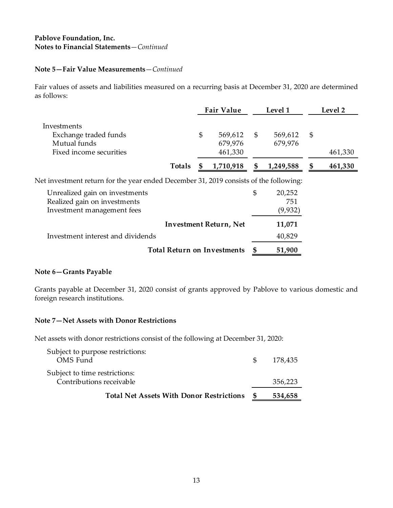#### **Note 5—Fair Value Measurements**—*Continued*

Fair values of assets and liabilities measured on a recurring basis at December 31, 2020 are determined as follows:

|                         |               | <b>Fair Value</b> |      | Level 1   |    | Level 2 |
|-------------------------|---------------|-------------------|------|-----------|----|---------|
| Investments             |               |                   |      |           |    |         |
| Exchange traded funds   |               | \$<br>569,612     | - \$ | 569,612   | -S |         |
| Mutual funds            |               | 679,976           |      | 679,976   |    |         |
| Fixed income securities |               | 461,330           |      |           |    | 461,330 |
|                         | <b>Totals</b> | 1,710,918         |      | 1,249,588 | S  | 461,330 |

Net investment return for the year ended December 31, 2019 consists of the following:

| Unrealized gain on investments<br>Realized gain on investments<br>Investment management fees | \$<br>20,252<br>751<br>(9,932) |
|----------------------------------------------------------------------------------------------|--------------------------------|
| <b>Investment Return, Net</b><br>Investment interest and dividends                           | 11,071<br>40,829               |
| <b>Total Return on Investments</b>                                                           | 51,900                         |

### **Note 6—Grants Payable**

Grants payable at December 31, 2020 consist of grants approved by Pablove to various domestic and foreign research institutions.

#### **Note 7—Net Assets with Donor Restrictions**

Net assets with donor restrictions consist of the following at December 31, 2020:

| <b>Total Net Assets With Donor Restrictions</b>           |               | 534,658 |
|-----------------------------------------------------------|---------------|---------|
| Subject to time restrictions:<br>Contributions receivable |               | 356,223 |
| Subject to purpose restrictions:<br>OMS Fund              | $\mathcal{S}$ | 178,435 |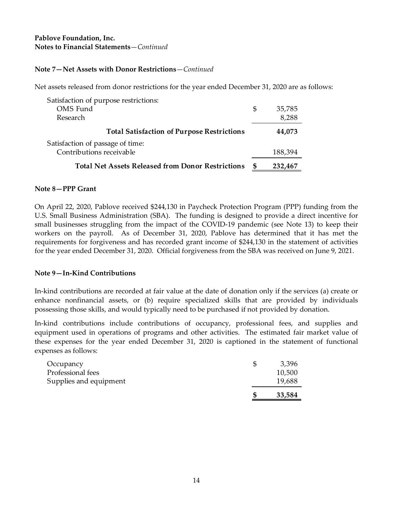### **Note 7—Net Assets with Donor Restrictions**—*Continued*

Net assets released from donor restrictions for the year ended December 31, 2020 are as follows:

| Satisfaction of purpose restrictions:                    |   |         |
|----------------------------------------------------------|---|---------|
| OMS Fund                                                 | S | 35,785  |
| Research                                                 |   | 8,288   |
| <b>Total Satisfaction of Purpose Restrictions</b>        |   | 44,073  |
| Satisfaction of passage of time:                         |   |         |
| Contributions receivable                                 |   | 188,394 |
| <b>Total Net Assets Released from Donor Restrictions</b> |   | 232,467 |

#### **Note 8—PPP Grant**

On April 22, 2020, Pablove received \$244,130 in Paycheck Protection Program (PPP) funding from the U.S. Small Business Administration (SBA). The funding is designed to provide a direct incentive for small businesses struggling from the impact of the COVID-19 pandemic (see Note 13) to keep their workers on the payroll. As of December 31, 2020, Pablove has determined that it has met the requirements for forgiveness and has recorded grant income of \$244,130 in the statement of activities for the year ended December 31, 2020. Official forgiveness from the SBA was received on June 9, 2021.

### **Note 9—In‐Kind Contributions**

In-kind contributions are recorded at fair value at the date of donation only if the services (a) create or enhance nonfinancial assets, or (b) require specialized skills that are provided by individuals possessing those skills, and would typically need to be purchased if not provided by donation.

In-kind contributions include contributions of occupancy, professional fees, and supplies and equipment used in operations of programs and other activities. The estimated fair market value of these expenses for the year ended December 31, 2020 is captioned in the statement of functional expenses as follows:

| Occupancy              | 3,396  |
|------------------------|--------|
| Professional fees      | 10,500 |
| Supplies and equipment | 19,688 |
|                        | 33,584 |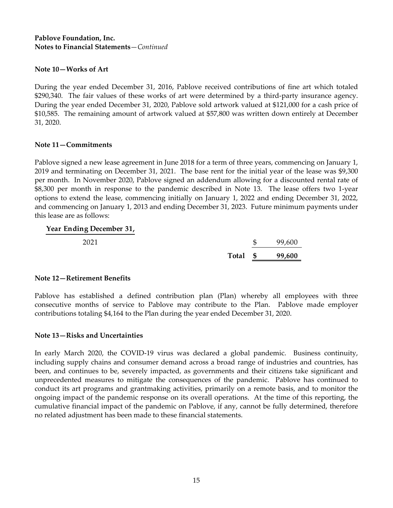## **Note 10—Works of Art**

During the year ended December 31, 2016, Pablove received contributions of fine art which totaled \$290,340. The fair values of these works of art were determined by a third-party insurance agency. During the year ended December 31, 2020, Pablove sold artwork valued at \$121,000 for a cash price of \$10,585. The remaining amount of artwork valued at \$57,800 was written down entirely at December 31, 2020.

### **Note 11—Commitments**

Pablove signed a new lease agreement in June 2018 for a term of three years, commencing on January 1, 2019 and terminating on December 31, 2021. The base rent for the initial year of the lease was \$9,300 per month. In November 2020, Pablove signed an addendum allowing for a discounted rental rate of \$8,300 per month in response to the pandemic described in Note 13. The lease offers two 1‐year options to extend the lease, commencing initially on January 1, 2022 and ending December 31, 2022, and commencing on January 1, 2013 and ending December 31, 2023. Future minimum payments under this lease are as follows:

# **Year Ending December 31,**

| 2021 |          | 99,600 |
|------|----------|--------|
|      | Total \$ | 99,600 |

### **Note 12—Retirement Benefits**

Pablove has established a defined contribution plan (Plan) whereby all employees with three consecutive months of service to Pablove may contribute to the Plan. Pablove made employer contributions totaling \$4,164 to the Plan during the year ended December 31, 2020.

### **Note 13—Risks and Uncertainties**

In early March 2020, the COVID-19 virus was declared a global pandemic. Business continuity, including supply chains and consumer demand across a broad range of industries and countries, has been, and continues to be, severely impacted, as governments and their citizens take significant and unprecedented measures to mitigate the consequences of the pandemic. Pablove has continued to conduct its art programs and grantmaking activities, primarily on a remote basis, and to monitor the ongoing impact of the pandemic response on its overall operations. At the time of this reporting, the cumulative financial impact of the pandemic on Pablove, if any, cannot be fully determined, therefore no related adjustment has been made to these financial statements.